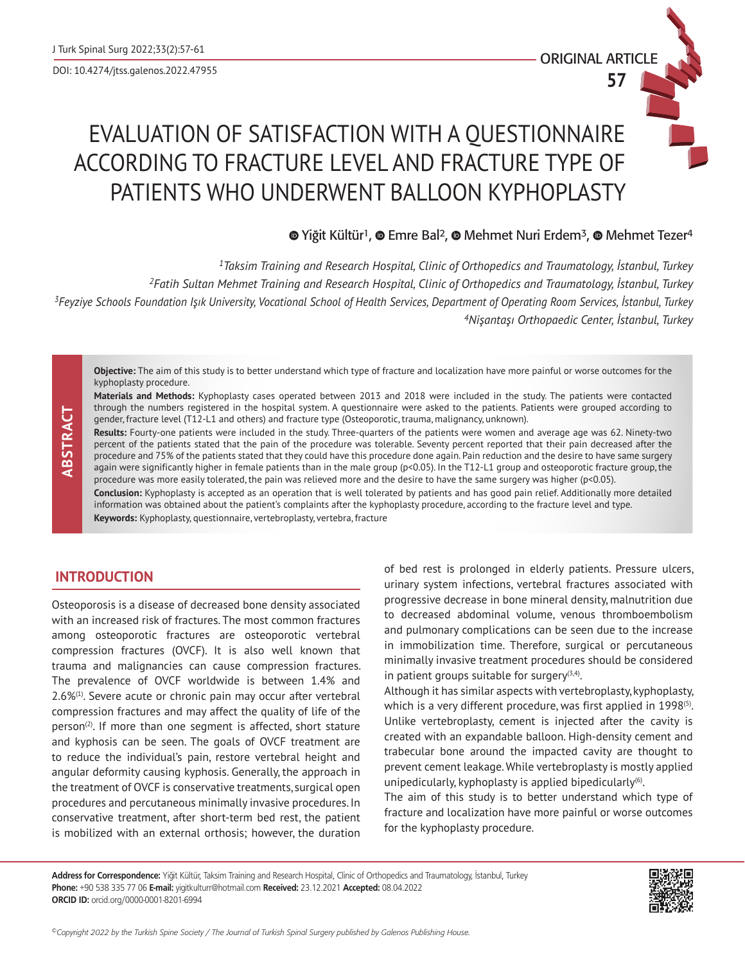ORIGINAL ARTICLE

**57**

# EVALUATION OF SATISFACTION WITH A QUESTIONNAIRE ACCORDING TO FRACTURE LEVEL AND FRACTURE TYPE OF PATIENTS WHO UNDERWENT BALLOON KYPHOPLASTY

## **<sup>■</sup>**Yiğit Kültür<sup>1</sup>, ■ Emre Bal<sup>2</sup>, ■ Mehmet Nuri Erdem<sup>3</sup>, ■ Mehmet Tezer<sup>4</sup>

*Taksim Training and Research Hospital, Clinic of Orthopedics and Traumatology, İstanbul, Turkey Fatih Sultan Mehmet Training and Research Hospital, Clinic of Orthopedics and Traumatology, İstanbul, Turkey Feyziye Schools Foundation Işık University, Vocational School of Health Services, Department of Operating Room Services, İstanbul, Turkey Nişantaşı Orthopaedic Center, İstanbul, Turkey*

**Objective:** The aim of this study is to better understand which type of fracture and localization have more painful or worse outcomes for the kyphoplasty procedure.

**Materials and Methods:** Kyphoplasty cases operated between 2013 and 2018 were included in the study. The patients were contacted through the numbers registered in the hospital system. A questionnaire were asked to the patients. Patients were grouped according to gender, fracture level (T12-L1 and others) and fracture type (Osteoporotic, trauma, malignancy, unknown).

**Results:** Fourty-one patients were included in the study. Three-quarters of the patients were women and average age was 62. Ninety-two percent of the patients stated that the pain of the procedure was tolerable. Seventy percent reported that their pain decreased after the procedure and 75% of the patients stated that they could have this procedure done again. Pain reduction and the desire to have same surgery again were significantly higher in female patients than in the male group (p<0.05). In the T12-L1 group and osteoporotic fracture group, the procedure was more easily tolerated, the pain was relieved more and the desire to have the same surgery was higher (p<0.05).

**Conclusion:** Kyphoplasty is accepted as an operation that is well tolerated by patients and has good pain relief. Additionally more detailed information was obtained about the patient's complaints after the kyphoplasty procedure, according to the fracture level and type.

**Keywords:** Kyphoplasty, questionnaire, vertebroplasty, vertebra, fracture

## **INTRODUCTION**

 **ABSTRACT**

ABSTRACT

Osteoporosis is a disease of decreased bone density associated with an increased risk of fractures. The most common fractures among osteoporotic fractures are osteoporotic vertebral compression fractures (OVCF). It is also well known that trauma and malignancies can cause compression fractures. The prevalence of OVCF worldwide is between 1.4% and 2.6%(1). Severe acute or chronic pain may occur after vertebral compression fractures and may affect the quality of life of the  $person^{(2)}$ . If more than one segment is affected, short stature and kyphosis can be seen. The goals of OVCF treatment are to reduce the individual's pain, restore vertebral height and angular deformity causing kyphosis. Generally, the approach in the treatment of OVCF is conservative treatments, surgical open procedures and percutaneous minimally invasive procedures. In conservative treatment, after short-term bed rest, the patient is mobilized with an external orthosis; however, the duration

of bed rest is prolonged in elderly patients. Pressure ulcers, urinary system infections, vertebral fractures associated with progressive decrease in bone mineral density, malnutrition due to decreased abdominal volume, venous thromboembolism and pulmonary complications can be seen due to the increase in immobilization time. Therefore, surgical or percutaneous minimally invasive treatment procedures should be considered in patient groups suitable for surgery $(3,4)$ .

Although it has similar aspects with vertebroplasty, kyphoplasty, which is a very different procedure, was first applied in 1998<sup>(5)</sup>. Unlike vertebroplasty, cement is injected after the cavity is created with an expandable balloon. High-density cement and trabecular bone around the impacted cavity are thought to prevent cement leakage. While vertebroplasty is mostly applied unipedicularly, kyphoplasty is applied bipedicularly<sup>(6)</sup>.

The aim of this study is to better understand which type of fracture and localization have more painful or worse outcomes for the kyphoplasty procedure.

**Address for Correspondence:** Yiğit Kültür, Taksim Training and Research Hospital, Clinic of Orthopedics and Traumatology, İstanbul, Turkey **Phone:** +90 538 335 77 06 **E-mail:** yigitkulturr@hotmail.com **Received:** 23.12.2021 **Accepted:** 08.04.2022 **ORCID ID:** orcid.org/0000-0001-8201-6994



*©Copyright 2022 by the Turkish Spine Society / The Journal of Turkish Spinal Surgery published by Galenos Publishing House.*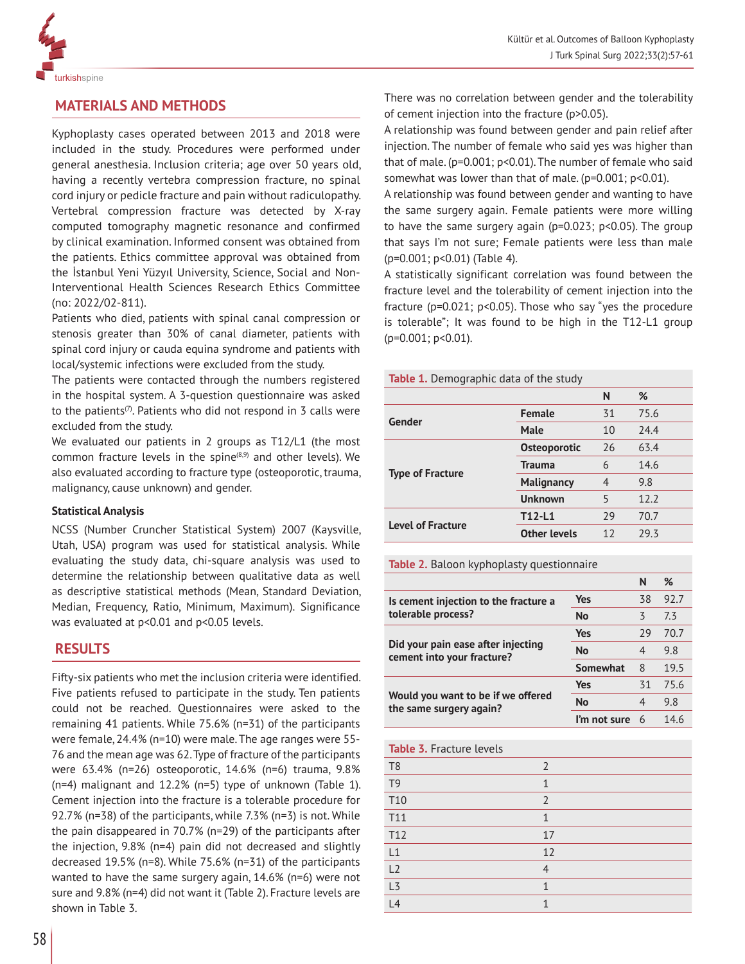

## **MATERIALS AND METHODS**

Kyphoplasty cases operated between 2013 and 2018 were included in the study. Procedures were performed under general anesthesia. Inclusion criteria; age over 50 years old, having a recently vertebra compression fracture, no spinal cord injury or pedicle fracture and pain without radiculopathy. Vertebral compression fracture was detected by X-ray computed tomography magnetic resonance and confirmed by clinical examination. Informed consent was obtained from the patients. Ethics committee approval was obtained from the İstanbul Yeni Yüzyıl University, Science, Social and Non-Interventional Health Sciences Research Ethics Committee (no: 2022/02-811).

Patients who died, patients with spinal canal compression or stenosis greater than 30% of canal diameter, patients with spinal cord injury or cauda equina syndrome and patients with local/systemic infections were excluded from the study.

The patients were contacted through the numbers registered in the hospital system. A 3-question questionnaire was asked to the patients<sup> $(7)$ </sup>. Patients who did not respond in 3 calls were excluded from the study.

We evaluated our patients in 2 groups as T12/L1 (the most common fracture levels in the spine<sup>(8,9)</sup> and other levels). We also evaluated according to fracture type (osteoporotic, trauma, malignancy, cause unknown) and gender.

### **Statistical Analysis**

NCSS (Number Cruncher Statistical System) 2007 (Kaysville, Utah, USA) program was used for statistical analysis. While evaluating the study data, chi-square analysis was used to determine the relationship between qualitative data as well as descriptive statistical methods (Mean, Standard Deviation, Median, Frequency, Ratio, Minimum, Maximum). Significance was evaluated at p<0.01 and p<0.05 levels.

## **RESULTS**

Fifty-six patients who met the inclusion criteria were identified. Five patients refused to participate in the study. Ten patients could not be reached. Questionnaires were asked to the remaining 41 patients. While 75.6% (n=31) of the participants were female, 24.4% (n=10) were male. The age ranges were 55- 76 and the mean age was 62. Type of fracture of the participants were 63.4% (n=26) osteoporotic, 14.6% (n=6) trauma, 9.8% (n=4) malignant and 12.2% (n=5) type of unknown (Table 1). Cement injection into the fracture is a tolerable procedure for 92.7% (n=38) of the participants, while 7.3% (n=3) is not. While the pain disappeared in 70.7% (n=29) of the participants after the injection, 9.8% (n=4) pain did not decreased and slightly decreased 19.5% (n=8). While 75.6% (n=31) of the participants wanted to have the same surgery again, 14.6% (n=6) were not sure and 9.8% (n=4) did not want it (Table 2). Fracture levels are shown in Table 3.

There was no correlation between gender and the tolerability of cement injection into the fracture (p>0.05).

A relationship was found between gender and pain relief after injection. The number of female who said yes was higher than that of male. (p=0.001; p<0.01). The number of female who said somewhat was lower than that of male. (p=0.001; p<0.01).

A relationship was found between gender and wanting to have the same surgery again. Female patients were more willing to have the same surgery again (p=0.023; p<0.05). The group that says I'm not sure; Female patients were less than male (p=0.001; p<0.01) (Table 4).

A statistically significant correlation was found between the fracture level and the tolerability of cement injection into the fracture (p=0.021; p<0.05). Those who say "yes the procedure is tolerable"; It was found to be high in the T12-L1 group (p=0.001; p<0.01).

**Table 1.** Demographic data of the study

|                          |                     | N  | %    |
|--------------------------|---------------------|----|------|
| Gender                   | <b>Female</b>       | 31 | 75.6 |
|                          | <b>Male</b>         | 10 | 24.4 |
| <b>Type of Fracture</b>  | <b>Osteoporotic</b> | 26 | 63.4 |
|                          | <b>Trauma</b>       | 6  | 14.6 |
|                          | <b>Malignancy</b>   | 4  | 9.8  |
|                          | <b>Unknown</b>      | 5  | 12.2 |
| <b>Level of Fracture</b> | T12-L1              | 29 | 70.7 |
|                          | <b>Other levels</b> | 12 | 29.3 |

|                                                                     |                                                                                  | N  | %    |
|---------------------------------------------------------------------|----------------------------------------------------------------------------------|----|------|
| Is cement injection to the fracture a                               | Yes                                                                              | 38 | 92.7 |
| tolerable process?                                                  | ζ<br>No<br>29<br><b>Yes</b><br>No<br>4<br><b>Somewhat</b><br>8<br>Yes<br>31<br>4 | 73 |      |
|                                                                     |                                                                                  |    | 70.7 |
| Did your pain ease after injecting<br>cement into your fracture?    |                                                                                  |    | 9.8  |
|                                                                     | 19.5                                                                             |    |      |
|                                                                     |                                                                                  |    | 75.6 |
| Would you want to be if we offered<br>No<br>the same surgery again? | 9.8                                                                              |    |      |
|                                                                     | I'm not sure                                                                     | 6  | 14.6 |
|                                                                     |                                                                                  |    |      |

| <b>Table 3. Fracture levels</b> |                |
|---------------------------------|----------------|
| T <sub>8</sub>                  | $\overline{2}$ |
| T <sub>9</sub>                  | 1              |
| T <sub>10</sub>                 | $\overline{2}$ |
| T11                             | 1              |
| T <sub>12</sub>                 | 17             |
| L1                              | 12             |
| L2                              | $\overline{4}$ |
| L3                              | 1              |
| L4                              |                |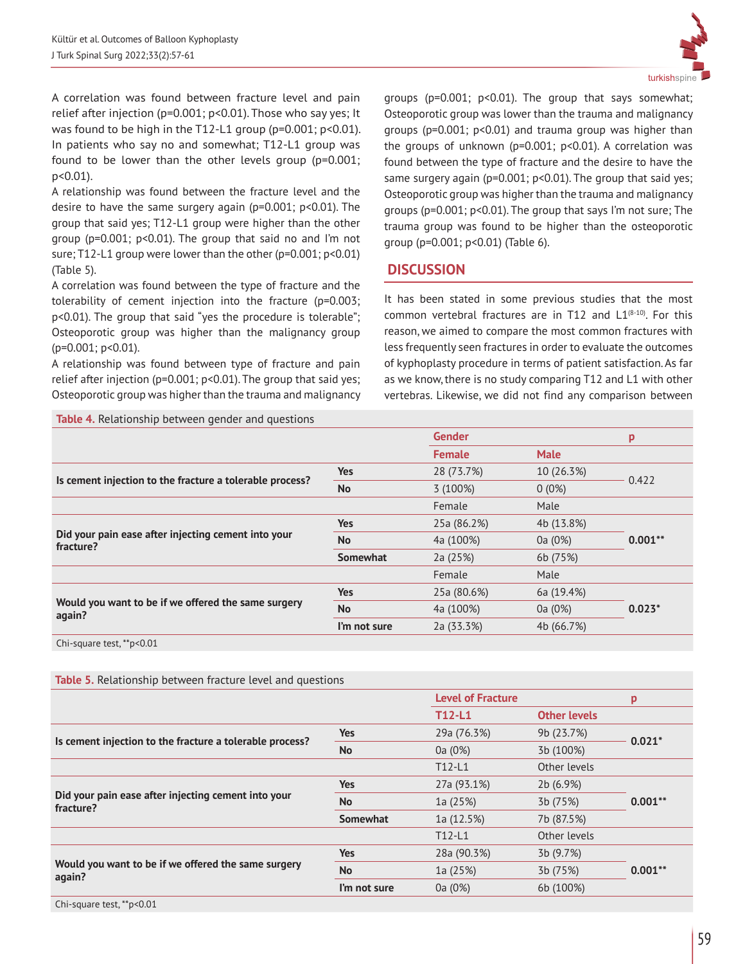

A correlation was found between fracture level and pain relief after injection (p=0.001; p<0.01). Those who say yes; It was found to be high in the T12-L1 group (p=0.001; p<0.01). In patients who say no and somewhat; T12-L1 group was found to be lower than the other levels group (p=0.001; p<0.01).

A relationship was found between the fracture level and the desire to have the same surgery again (p=0.001; p<0.01). The group that said yes; T12-L1 group were higher than the other group (p=0.001; p<0.01). The group that said no and I'm not sure; T12-L1 group were lower than the other (p=0.001; p<0.01) (Table 5).

A correlation was found between the type of fracture and the tolerability of cement injection into the fracture (p=0.003; p<0.01). The group that said "yes the procedure is tolerable"; Osteoporotic group was higher than the malignancy group (p=0.001; p<0.01).

A relationship was found between type of fracture and pain relief after injection (p=0.001; p<0.01). The group that said yes; Osteoporotic group was higher than the trauma and malignancy groups (p=0.001; p<0.01). The group that says somewhat; Osteoporotic group was lower than the trauma and malignancy groups (p=0.001; p<0.01) and trauma group was higher than the groups of unknown ( $p=0.001$ ;  $p<0.01$ ). A correlation was found between the type of fracture and the desire to have the same surgery again (p=0.001; p<0.01). The group that said yes; Osteoporotic group was higher than the trauma and malignancy groups (p=0.001; p<0.01). The group that says I'm not sure; The trauma group was found to be higher than the osteoporotic group (p=0.001; p<0.01) (Table 6).

## **DISCUSSION**

It has been stated in some previous studies that the most common vertebral fractures are in T12 and  $L1^{(8\cdot 10)}$ . For this reason, we aimed to compare the most common fractures with less frequently seen fractures in order to evaluate the outcomes of kyphoplasty procedure in terms of patient satisfaction. As far as we know, there is no study comparing T12 and L1 with other vertebras. Likewise, we did not find any comparison between

|                 | <b>Gender</b> |             | р         |
|-----------------|---------------|-------------|-----------|
|                 | <b>Female</b> | <b>Male</b> |           |
| <b>Yes</b>      | 28 (73.7%)    | 10 (26.3%)  | 0.422     |
| <b>No</b>       | 3 (100%)      | $0(0\%)$    |           |
|                 | Female        | Male        |           |
| <b>Yes</b>      | 25a (86.2%)   | 4b (13.8%)  |           |
| <b>No</b>       | 4a (100%)     | 0a (0%)     | $0.001**$ |
| <b>Somewhat</b> | 2a (25%)      | 6b (75%)    |           |
|                 | Female        | Male        |           |
| <b>Yes</b>      | 25a (80.6%)   | 6a (19.4%)  |           |
| <b>No</b>       | 4a (100%)     | 0a (0%)     | $0.023*$  |
| I'm not sure    | 2a (33.3%)    | 4b (66.7%)  |           |
|                 |               |             |           |

Chi-square test, \*\*p<0.01

| <b>Table 5.</b> Relationship between fracture level and questions |                 |                          |                     |           |  |
|-------------------------------------------------------------------|-----------------|--------------------------|---------------------|-----------|--|
|                                                                   |                 | <b>Level of Fracture</b> |                     | p         |  |
|                                                                   |                 | $T12-L1$                 | <b>Other levels</b> |           |  |
| Is cement injection to the fracture a tolerable process?          | <b>Yes</b>      | 29a (76.3%)              | 9b (23.7%)          |           |  |
|                                                                   | <b>No</b>       | 0a (0%)                  | 3b (100%)           | $0.021*$  |  |
|                                                                   |                 | $T12-L1$                 | Other levels        |           |  |
| Did your pain ease after injecting cement into your<br>fracture?  | <b>Yes</b>      | 27a (93.1%)              | 2b (6.9%)           |           |  |
|                                                                   | <b>No</b>       | 1a (25%)                 | 3b (75%)            | $0.001**$ |  |
|                                                                   | <b>Somewhat</b> | 1a (12.5%)               | 7b (87.5%)          |           |  |
|                                                                   |                 | $T12-L1$                 | Other levels        |           |  |
| Would you want to be if we offered the same surgery<br>again?     | <b>Yes</b>      | 28a (90.3%)              | 3b (9.7%)           |           |  |
|                                                                   | <b>No</b>       | 1a (25%)                 | 3b (75%)            | $0.001**$ |  |
|                                                                   | I'm not sure    | 0a (0%)                  | 6b (100%)           |           |  |
| $Chi$ -cauzra tost ** $n \times 0.01$                             |                 |                          |                     |           |  |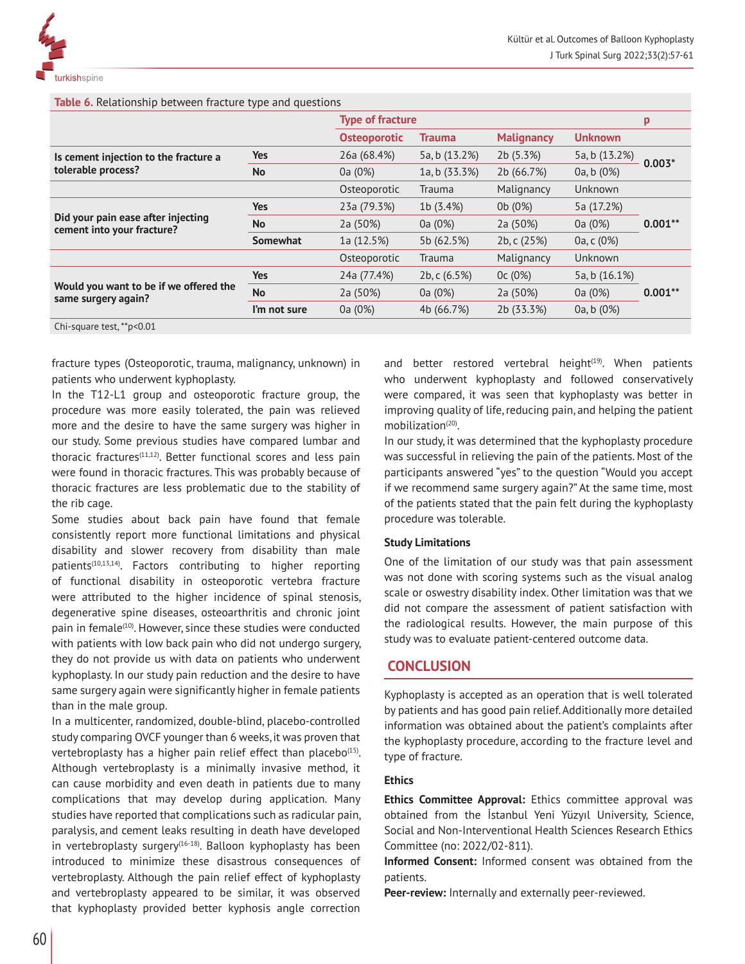**Table 6.** Relationship between fracture type and questions

|                                                                  | $\sqrt{1}$      |                         |                 |                   |                |            |
|------------------------------------------------------------------|-----------------|-------------------------|-----------------|-------------------|----------------|------------|
|                                                                  |                 | <b>Type of fracture</b> |                 |                   | p              |            |
|                                                                  |                 | <b>Osteoporotic</b>     | <b>Trauma</b>   | <b>Malignancy</b> | <b>Unknown</b> |            |
| Is cement injection to the fracture a<br>tolerable process?      | <b>Yes</b>      | 26a (68.4%)             | 5a, b (13.2%)   | 2b (5.3%)         | 5a, b (13.2%)  | $0.003*$   |
|                                                                  | <b>No</b>       | 0a (0%)                 | 1a, b (33.3%)   | 2b (66.7%)        | 0a, b (0%)     |            |
|                                                                  |                 | Osteoporotic            | <b>Trauma</b>   | Malignancy        | Unknown        |            |
| Did your pain ease after injecting<br>cement into your fracture? | <b>Yes</b>      | 23a (79.3%)             | 1b (3.4%)       | 0b (0%)           | 5a (17.2%)     |            |
|                                                                  | No              | 2a (50%)                | 0a (0%)         | 2a (50%)          | 0a (0%)        | $0.001***$ |
|                                                                  | <b>Somewhat</b> | 1a (12.5%)              | 5b (62.5%)      | 2b, c (25%)       | 0a, c (0%)     |            |
|                                                                  |                 | Osteoporotic            | Trauma          | Malignancy        | Unknown        |            |
| Would you want to be if we offered the<br>same surgery again?    | <b>Yes</b>      | 24a (77.4%)             | 2b, c $(6.5\%)$ | 0c(0%)            | 5a, b (16.1%)  |            |
|                                                                  | <b>No</b>       | 2a (50%)                | 0a (0%)         | 2a (50%)          | 0a (0%)        | $0.001**$  |
|                                                                  | I'm not sure    | 0a (0%)                 | 4b (66.7%)      | 2b (33.3%)        | 0a, b (0%)     |            |
|                                                                  |                 |                         |                 |                   |                |            |

Chi-square test, \*\*p<0.01

fracture types (Osteoporotic, trauma, malignancy, unknown) in patients who underwent kyphoplasty.

In the T12-L1 group and osteoporotic fracture group, the procedure was more easily tolerated, the pain was relieved more and the desire to have the same surgery was higher in our study. Some previous studies have compared lumbar and thoracic fractures<sup>(11,12)</sup>. Better functional scores and less pain were found in thoracic fractures. This was probably because of thoracic fractures are less problematic due to the stability of the rib cage.

Some studies about back pain have found that female consistently report more functional limitations and physical disability and slower recovery from disability than male patients<sup>(10,13,14)</sup>. Factors contributing to higher reporting of functional disability in osteoporotic vertebra fracture were attributed to the higher incidence of spinal stenosis, degenerative spine diseases, osteoarthritis and chronic joint pain in female<sup>(10)</sup>. However, since these studies were conducted with patients with low back pain who did not undergo surgery, they do not provide us with data on patients who underwent kyphoplasty. In our study pain reduction and the desire to have same surgery again were significantly higher in female patients than in the male group.

In a multicenter, randomized, double-blind, placebo-controlled study comparing OVCF younger than 6 weeks, it was proven that vertebroplasty has a higher pain relief effect than placebo $(15)$ . Although vertebroplasty is a minimally invasive method, it can cause morbidity and even death in patients due to many complications that may develop during application. Many studies have reported that complications such as radicular pain, paralysis, and cement leaks resulting in death have developed in vertebroplasty surgery<sup>(16-18)</sup>. Balloon kyphoplasty has been introduced to minimize these disastrous consequences of vertebroplasty. Although the pain relief effect of kyphoplasty and vertebroplasty appeared to be similar, it was observed that kyphoplasty provided better kyphosis angle correction

and better restored vertebral height $(19)$ . When patients who underwent kyphoplasty and followed conservatively were compared, it was seen that kyphoplasty was better in improving quality of life, reducing pain, and helping the patient mobilization<sup>(20)</sup>.

In our study, it was determined that the kyphoplasty procedure was successful in relieving the pain of the patients. Most of the participants answered "yes" to the question "Would you accept if we recommend same surgery again?" At the same time, most of the patients stated that the pain felt during the kyphoplasty procedure was tolerable.

### **Study Limitations**

One of the limitation of our study was that pain assessment was not done with scoring systems such as the visual analog scale or oswestry disability index. Other limitation was that we did not compare the assessment of patient satisfaction with the radiological results. However, the main purpose of this study was to evaluate patient-centered outcome data.

## **CONCLUSION**

Kyphoplasty is accepted as an operation that is well tolerated by patients and has good pain relief. Additionally more detailed information was obtained about the patient's complaints after the kyphoplasty procedure, according to the fracture level and type of fracture.

## **Ethics**

**Ethics Committee Approval:** Ethics committee approval was obtained from the İstanbul Yeni Yüzyıl University, Science, Social and Non-Interventional Health Sciences Research Ethics Committee (no: 2022/02-811).

**Informed Consent:** Informed consent was obtained from the patients.

**Peer-review:** Internally and externally peer-reviewed.